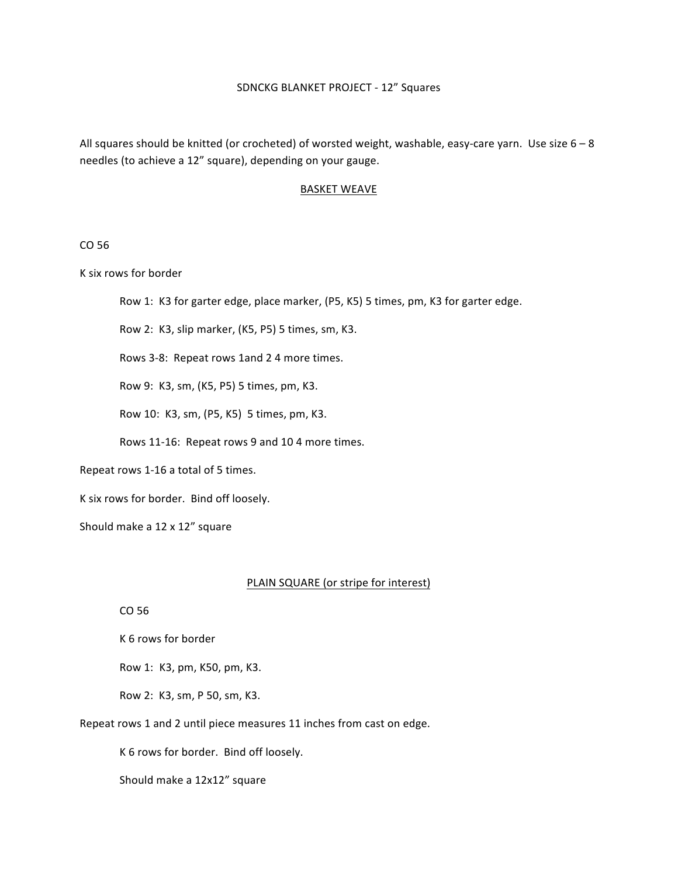All squares should be knitted (or crocheted) of worsted weight, washable, easy-care yarn. Use size  $6-8$ needles (to achieve a 12" square), depending on your gauge.

#### **BASKET WEAVE**

## CO 56

K six rows for border

Row 1: K3 for garter edge, place marker, (P5, K5) 5 times, pm, K3 for garter edge.

Row 2: K3, slip marker, (K5, P5) 5 times, sm, K3.

Rows 3-8: Repeat rows 1and 2 4 more times.

Row 9: K3, sm, (K5, P5) 5 times, pm, K3.

Row 10: K3, sm, (P5, K5) 5 times, pm, K3.

Rows 11-16: Repeat rows 9 and 10 4 more times.

Repeat rows 1-16 a total of 5 times.

K six rows for border. Bind off loosely.

Should make a 12 x 12" square

#### PLAIN SQUARE (or stripe for interest)

CO 56

K 6 rows for border

Row 1: K3, pm, K50, pm, K3.

Row 2: K3, sm, P 50, sm, K3.

Repeat rows 1 and 2 until piece measures 11 inches from cast on edge.

K 6 rows for border. Bind off loosely.

Should make a 12x12" square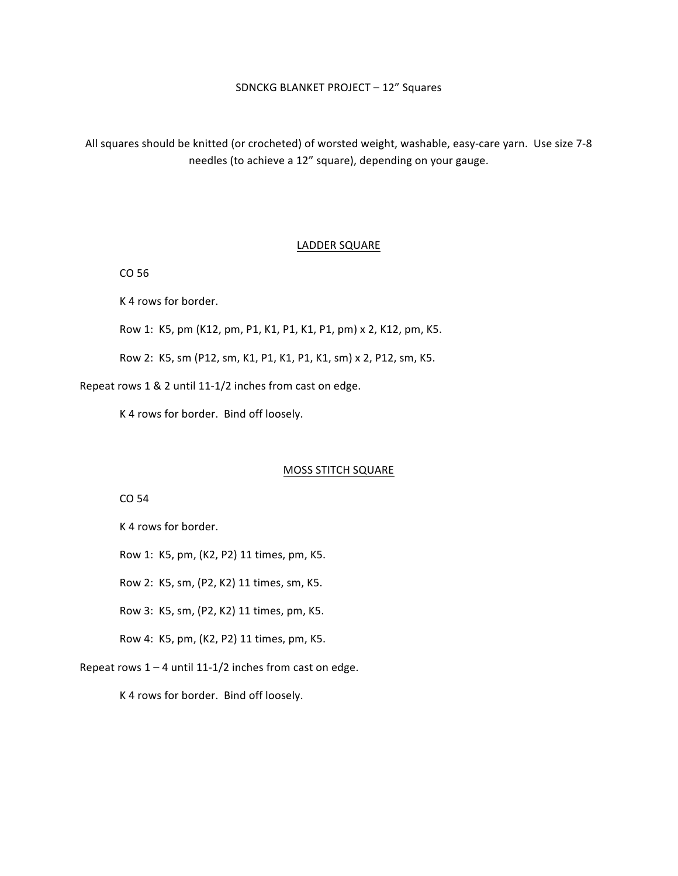All squares should be knitted (or crocheted) of worsted weight, washable, easy-care yarn. Use size 7-8 needles (to achieve a 12" square), depending on your gauge.

#### LADDER SQUARE

CO 56

K 4 rows for border.

Row 1: K5, pm (K12, pm, P1, K1, P1, K1, P1, pm) x 2, K12, pm, K5.

Row 2: K5, sm (P12, sm, K1, P1, K1, P1, K1, sm) x 2, P12, sm, K5.

Repeat rows 1 & 2 until 11-1/2 inches from cast on edge.

K 4 rows for border. Bind off loosely.

### **MOSS STITCH SQUARE**

CO 54

K 4 rows for border.

Row 1: K5, pm, (K2, P2) 11 times, pm, K5.

Row 2: K5, sm, (P2, K2) 11 times, sm, K5.

Row 3: K5, sm, (P2, K2) 11 times, pm, K5.

Row 4: K5, pm, (K2, P2) 11 times, pm, K5.

Repeat rows  $1 - 4$  until  $11-1/2$  inches from cast on edge.

K 4 rows for border. Bind off loosely.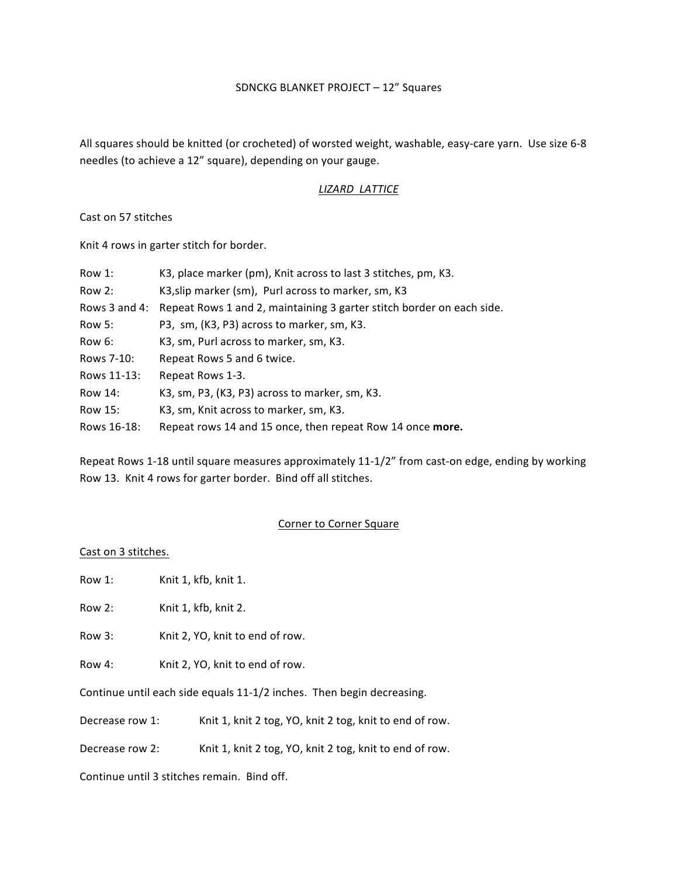All squares should be knitted (or crocheted) of worsted weight, washable, easy-care yarn. Use size 6-8 needles (to achieve a 12" square), depending on your gauge.

# *LIZARD LATTICE*

Cast on 57 stitches

Knit 4 rows in garter stitch for border.

| Row 1:        | K3, place marker (pm), Knit across to last 3 stitches, pm, K3.        |
|---------------|-----------------------------------------------------------------------|
| Row 2:        | K3, slip marker (sm), Purl across to marker, sm, K3                   |
| Rows 3 and 4: | Repeat Rows 1 and 2, maintaining 3 garter stitch border on each side. |
| Row 5:        | P3, sm, (K3, P3) across to marker, sm, K3.                            |
| Row 6:        | K3, sm, Purl across to marker, sm, K3.                                |
| Rows 7-10:    | Repeat Rows 5 and 6 twice.                                            |
| Rows 11-13:   | Repeat Rows 1-3.                                                      |
| Row 14:       | K3, sm, P3, (K3, P3) across to marker, sm, K3.                        |
| Row 15:       | K3, sm, Knit across to marker, sm, K3.                                |
| Rows 16-18:   | Repeat rows 14 and 15 once, then repeat Row 14 once more.             |

Repeat Rows 1-18 until square measures approximately 11-1/2" from cast-on edge, ending by working Row 13. Knit 4 rows for garter border. Bind off all stitches.

## Corner to Corner Square

### Cast on 3 stitches.

Row 1: Knit 1, kfb, knit 1.

Row 2: Knit 1, kfb, knit 2.

Row 3: Knit 2, YO, knit to end of row.

Row 4: Knit 2, YO, knit to end of row.

Continue until each side equals 11-1/2 inches. Then begin decreasing.

Decrease row 1: Knit 1, knit 2 tog, YO, knit 2 tog, knit to end of row.

Decrease row 2: Knit 1, knit 2 tog, YO, knit 2 tog, knit to end of row.

Continue until 3 stitches remain. Bind off.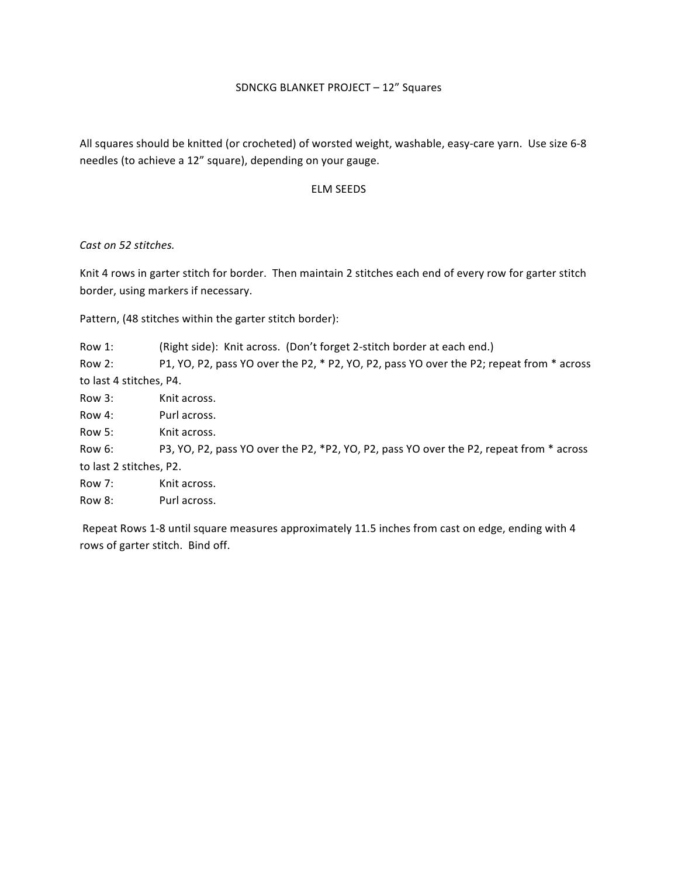All squares should be knitted (or crocheted) of worsted weight, washable, easy-care yarn. Use size 6-8 needles (to achieve a 12" square), depending on your gauge.

# ELM SEEDS

*Cast on 52 stitches.*

Knit 4 rows in garter stitch for border. Then maintain 2 stitches each end of every row for garter stitch border, using markers if necessary.

Pattern, (48 stitches within the garter stitch border):

Row 1: (Right side): Knit across. (Don't forget 2-stitch border at each end.) Row 2: P1, YO, P2, pass YO over the P2, \* P2, YO, P2, pass YO over the P2; repeat from \* across to last 4 stitches, P4. Row 3: Knit across. Row 4: Purl across. Row 5: Knit across.

Row 6: P3, YO, P2, pass YO over the P2, \*P2, YO, P2, pass YO over the P2, repeat from \* across to last 2 stitches, P2.

Row 7: Knit across.

Row 8: Purl across.

Repeat Rows 1-8 until square measures approximately 11.5 inches from cast on edge, ending with 4 rows of garter stitch. Bind off.